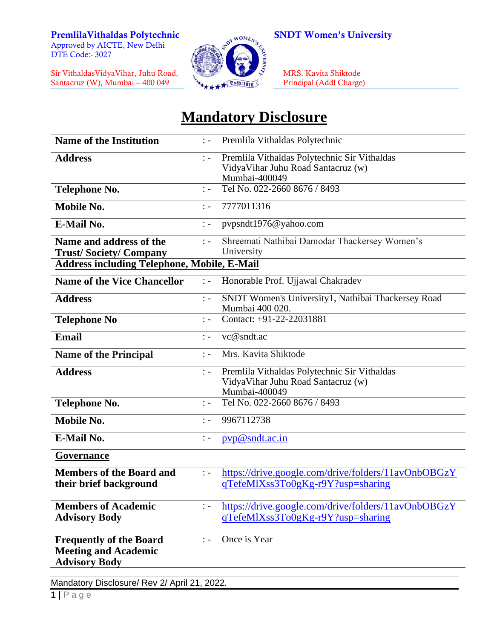Approved by AICTE, New Delhi DTE Code:- 3027

Sir VithaldasVidyaVihar, Juhu Road, MRS. Kavita Shiktode Santacruz (W), Mumbai – 400 049 Principal (Addl Charge)



## **Mandatory Disclosure**

| <b>Name of the Institution</b>                                                        | $\ddot{ }$ $\ddot{ }$            | Premlila Vithaldas Polytechnic                                                                      |  |
|---------------------------------------------------------------------------------------|----------------------------------|-----------------------------------------------------------------------------------------------------|--|
| <b>Address</b>                                                                        | $\mathbf{1}$ $\mathbf{1}$        | Premlila Vithaldas Polytechnic Sir Vithaldas<br>VidyaVihar Juhu Road Santacruz (w)<br>Mumbai-400049 |  |
| <b>Telephone No.</b>                                                                  | $\mathbf{I}$                     | Tel No. 022-2660 8676 / 8493                                                                        |  |
| Mobile No.                                                                            | $\cdot$ $-$                      | 7777011316                                                                                          |  |
| E-Mail No.                                                                            | $\therefore$                     | pypsndt1976@yahoo.com                                                                               |  |
| Name and address of the<br><b>Trust/Society/Company</b>                               | $\frac{1}{2}$ =                  | Shreemati Nathibai Damodar Thackersey Women's<br>University                                         |  |
| <b>Address including Telephone, Mobile, E-Mail</b>                                    |                                  |                                                                                                     |  |
| <b>Name of the Vice Chancellor</b>                                                    | $\mathbb{R}$ =                   | Honorable Prof. Ujjawal Chakradev                                                                   |  |
| <b>Address</b>                                                                        | $\mathcal{L}$                    | SNDT Women's University1, Nathibai Thackersey Road<br>Mumbai 400 020.                               |  |
| <b>Telephone No</b>                                                                   | $\frac{1}{2}$ $\frac{1}{2}$      | Contact: +91-22-22031881                                                                            |  |
| <b>Email</b>                                                                          | $\cdot$ $-$                      | vc@sndt.ac                                                                                          |  |
| <b>Name of the Principal</b>                                                          | $\ddot{ }$ $\ddot{ }$ $\ddot{ }$ | Mrs. Kavita Shiktode                                                                                |  |
| <b>Address</b>                                                                        | $\ddot{ }$ $\ddot{ }$            | Premlila Vithaldas Polytechnic Sir Vithaldas<br>VidyaVihar Juhu Road Santacruz (w)<br>Mumbai-400049 |  |
| <b>Telephone No.</b>                                                                  | $\frac{1}{2}$ –                  | Tel No. 022-2660 8676 / 8493                                                                        |  |
| Mobile No.                                                                            | $\mathbf{I} =$                   | 9967112738                                                                                          |  |
| E-Mail No.                                                                            | $\mathbb{I}$ –                   | pyp@sndt.ac.in                                                                                      |  |
| Governance                                                                            |                                  |                                                                                                     |  |
| <b>Members of the Board and</b><br>their brief background                             | $\mathbb{I}$ =                   | https://drive.google.com/drive/folders/11avOnbOBGzY<br>qTefeMlXss3To0gKg-r9Y?usp=sharing            |  |
| <b>Members of Academic</b><br><b>Advisory Body</b>                                    | $\frac{1}{2}$ =                  | https://drive.google.com/drive/folders/11avOnbOBGzY<br>qTefeMlXss3To0gKg-r9Y?usp=sharing            |  |
| <b>Frequently of the Board</b><br><b>Meeting and Academic</b><br><b>Advisory Body</b> | $\ddot{ }$ $\ddot{ }$            | Once is Year                                                                                        |  |
| Mandatory Disclosure/ Rev 2/ April 21, 2022.                                          |                                  |                                                                                                     |  |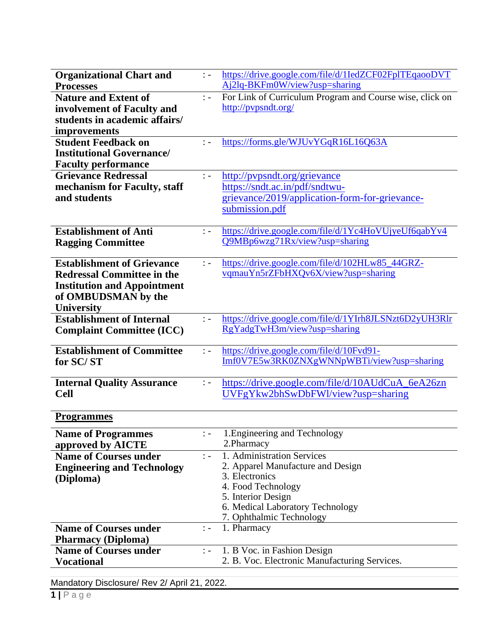| <b>Organizational Chart and</b>    | $\ddot{ }$ $\ddot{ }$ $\ddot{ }$ | https://drive.google.com/file/d/1IedZCF02FplTEqaooDVT    |
|------------------------------------|----------------------------------|----------------------------------------------------------|
| <b>Processes</b>                   |                                  | Aj2lq-BKFm0W/view?usp=sharing                            |
| <b>Nature and Extent of</b>        | $\mathbb{I}$ =                   | For Link of Curriculum Program and Course wise, click on |
| involvement of Faculty and         |                                  | http://pypsndt.org/                                      |
| students in academic affairs/      |                                  |                                                          |
| improvements                       |                                  |                                                          |
| <b>Student Feedback on</b>         | $\mathbf{I}$ –                   | https://forms.gle/WJUvYGqR16L16Q63A                      |
| <b>Institutional Governance/</b>   |                                  |                                                          |
| <b>Faculty performance</b>         |                                  |                                                          |
| <b>Grievance Redressal</b>         | $\therefore$                     | http://pypsndt.org/grievance                             |
| mechanism for Faculty, staff       |                                  | https://sndt.ac.in/pdf/sndtwu-                           |
| and students                       |                                  | grievance/2019/application-form-for-grievance-           |
|                                    |                                  | submission.pdf                                           |
|                                    |                                  |                                                          |
| <b>Establishment of Anti</b>       | $\therefore$                     | https://drive.google.com/file/d/1Yc4HoVUjyeUf6qabYv4     |
| <b>Ragging Committee</b>           |                                  | Q9MBp6wzg71Rx/view?usp=sharing                           |
|                                    |                                  |                                                          |
| <b>Establishment of Grievance</b>  | $\frac{1}{2}$ –                  | https://drive.google.com/file/d/102HLw85_44GRZ-          |
| <b>Redressal Committee in the</b>  |                                  | vqmauYn5rZFbHXQv6X/view?usp=sharing                      |
| <b>Institution and Appointment</b> |                                  |                                                          |
| of OMBUDSMAN by the                |                                  |                                                          |
| <b>University</b>                  |                                  |                                                          |
| <b>Establishment of Internal</b>   | $\mathbb{R}$ =                   | https://drive.google.com/file/d/1YIrh8JLSNzt6D2yUH3Rlr   |
| <b>Complaint Committee (ICC)</b>   |                                  | RgYadgTwH3m/view?usp=sharing                             |
|                                    |                                  |                                                          |
| <b>Establishment of Committee</b>  | $\vdots$                         | https://drive.google.com/file/d/10Fvd91-                 |
| for SC/ST                          |                                  | Imf0V7E5w3RK0ZNXgWNNpWBTi/view?usp=sharing               |
|                                    |                                  |                                                          |
| <b>Internal Quality Assurance</b>  | $\mathbb{I}$ –                   | https://drive.google.com/file/d/10AUdCuA_6eA26zn         |
| <b>Cell</b>                        |                                  | UVFgYkw2bhSwDbFWl/view?usp=sharing                       |
|                                    |                                  |                                                          |
| <b>Programmes</b>                  |                                  |                                                          |
| <b>Name of Programmes</b>          | $\therefore$                     | 1. Engineering and Technology                            |
| approved by AICTE                  |                                  | 2. Pharmacy                                              |
| <b>Name of Courses under</b>       | $\mathbb{R}$ =                   | 1. Administration Services                               |
| <b>Engineering and Technology</b>  |                                  | 2. Apparel Manufacture and Design                        |
| (Diploma)                          |                                  | 3. Electronics                                           |
|                                    |                                  | 4. Food Technology                                       |
|                                    |                                  | 5. Interior Design                                       |
|                                    |                                  | 6. Medical Laboratory Technology                         |
|                                    |                                  | 7. Ophthalmic Technology                                 |
| <b>Name of Courses under</b>       | $\therefore$                     | 1. Pharmacy                                              |
| <b>Pharmacy (Diploma)</b>          |                                  |                                                          |
| <b>Name of Courses under</b>       | $\therefore$                     | 1. B Voc. in Fashion Design                              |
| <b>Vocational</b>                  |                                  | 2. B. Voc. Electronic Manufacturing Services.            |
|                                    |                                  |                                                          |

Mandatory Disclosure/ Rev 2/ April 21, 2022.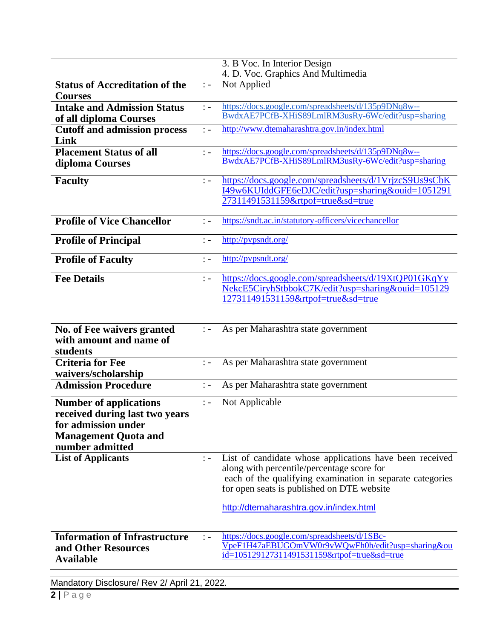|                                                                                                                                          |                 | 3. B Voc. In Interior Design                                                                                                                                                                                                                                |
|------------------------------------------------------------------------------------------------------------------------------------------|-----------------|-------------------------------------------------------------------------------------------------------------------------------------------------------------------------------------------------------------------------------------------------------------|
|                                                                                                                                          |                 | 4. D. Voc. Graphics And Multimedia                                                                                                                                                                                                                          |
| <b>Status of Accreditation of the</b><br><b>Courses</b>                                                                                  | $\mathbb{I}$ =  | Not Applied                                                                                                                                                                                                                                                 |
| <b>Intake and Admission Status</b>                                                                                                       | $\therefore$    | https://docs.google.com/spreadsheets/d/135p9DNq8w--                                                                                                                                                                                                         |
| of all diploma Courses                                                                                                                   |                 | BwdxAE7PCfB-XHiS89LmlRM3usRy-6Wc/edit?usp=sharing                                                                                                                                                                                                           |
| <b>Cutoff and admission process</b><br>Link                                                                                              | $\mathbb{R}$ –  | http://www.dtemaharashtra.gov.in/index.html                                                                                                                                                                                                                 |
| <b>Placement Status of all</b><br>diploma Courses                                                                                        | $\mathbf{L}$ –  | https://docs.google.com/spreadsheets/d/135p9DNq8w--<br>BwdxAE7PCfB-XHiS89LmlRM3usRy-6Wc/edit?usp=sharing                                                                                                                                                    |
| <b>Faculty</b>                                                                                                                           | $\vdots$        | https://docs.google.com/spreadsheets/d/1VrjzcS9Us9sCbK<br>I49w6KUIddGFE6eDJC/edit?usp=sharing&ouid=1051291<br>27311491531159&rtpof=true&sd=true                                                                                                             |
| <b>Profile of Vice Chancellor</b>                                                                                                        | $\mathbb{R}$ =  | https://sndt.ac.in/statutory-officers/vicechancellor                                                                                                                                                                                                        |
| <b>Profile of Principal</b>                                                                                                              | $\ddot{ }$ -    | http://pvpsndt.org/                                                                                                                                                                                                                                         |
| <b>Profile of Faculty</b>                                                                                                                | $\mathbb{R}$ –  | http://pvpsndt.org/                                                                                                                                                                                                                                         |
| <b>Fee Details</b>                                                                                                                       | $\frac{1}{2}$ – | https://docs.google.com/spreadsheets/d/19XtQP01GKqYy<br>NekcE5CiryhStbbokC7K/edit?usp=sharing&ouid=105129<br>127311491531159&rtpof=true&sd=true                                                                                                             |
| No. of Fee waivers granted<br>with amount and name of<br>students                                                                        | $\colon -$      | As per Maharashtra state government                                                                                                                                                                                                                         |
| <b>Criteria for Fee</b><br>waivers/scholarship                                                                                           | $\colon$ -      | As per Maharashtra state government                                                                                                                                                                                                                         |
| <b>Admission Procedure</b>                                                                                                               | $\therefore$    | As per Maharashtra state government                                                                                                                                                                                                                         |
| <b>Number of applications</b><br>received during last two years<br>for admission under<br><b>Management Quota and</b><br>number admitted | $\vdots$ -      | Not Applicable                                                                                                                                                                                                                                              |
| <b>List of Applicants</b>                                                                                                                | $\mathbf{I} =$  | List of candidate whose applications have been received<br>along with percentile/percentage score for<br>each of the qualifying examination in separate categories<br>for open seats is published on DTE website<br>http://dtemaharashtra.gov.in/index.html |
| <b>Information of Infrastructure</b><br>and Other Resources<br><b>Available</b>                                                          | $\mathbf{I}$ –  | https://docs.google.com/spreadsheets/d/1SBc-<br>VpeF1H47aEBUGOmVW0r9vWQwFh0h/edit?usp=sharing&ou<br>id=105129127311491531159&rtpof=true&sd=true                                                                                                             |

Mandatory Disclosure/ Rev 2/ April 21, 2022.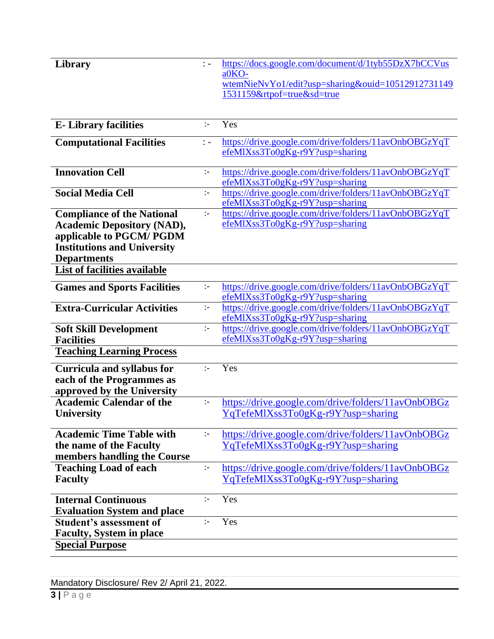| a0KO-<br>wtemNieNvYo1/edit?usp=sharing&ouid=10512912731149                                                                                                         |  |
|--------------------------------------------------------------------------------------------------------------------------------------------------------------------|--|
|                                                                                                                                                                    |  |
| 1531159&rtpof=true&sd=true                                                                                                                                         |  |
|                                                                                                                                                                    |  |
|                                                                                                                                                                    |  |
| Yes<br><b>E</b> -Library facilities<br>$\mathbb{R}^2$                                                                                                              |  |
| https://drive.google.com/drive/folders/11avOnbOBGzYqT<br><b>Computational Facilities</b><br>$\therefore$                                                           |  |
| $efeMIX$ ss $3To0gKg-r9Y?$ usp=sharing                                                                                                                             |  |
| <b>Innovation Cell</b><br>https://drive.google.com/drive/folders/11avOnbOBGzYqT<br>$\mathbb{I}$                                                                    |  |
| efeMlXss3To0gKg-r9Y?usp=sharing                                                                                                                                    |  |
| <b>Social Media Cell</b><br>https://drive.google.com/drive/folders/11avOnbOBGzYqT<br>$\ddot{\phantom{1}}$                                                          |  |
| efeMlXss3To0gKg-r9Y?usp=sharing                                                                                                                                    |  |
| https://drive.google.com/drive/folders/11avOnbOBGzYqT<br><b>Compliance of the National</b><br>$\ddot{\phantom{1}}$<br>efeMlXss3To0gKg-r9Y?usp=sharing              |  |
| <b>Academic Depository (NAD),</b>                                                                                                                                  |  |
| applicable to PGCM/ PGDM<br><b>Institutions and University</b>                                                                                                     |  |
| <b>Departments</b>                                                                                                                                                 |  |
| <b>List of facilities available</b>                                                                                                                                |  |
| https://drive.google.com/drive/folders/11avOnbOBGzYqT<br><b>Games and Sports Facilities</b><br>$\div$                                                              |  |
| efeMlXss3To0gKg-r9Y?usp=sharing                                                                                                                                    |  |
| <b>Extra-Curricular Activities</b><br>https://drive.google.com/drive/folders/11avOnbOBGzYqT<br>$\mathbb{I}$                                                        |  |
| efeMlXss3To0gKg-r9Y?usp=sharing<br>https://drive.google.com/drive/folders/11avOnbQBGzYqT                                                                           |  |
| <b>Soft Skill Development</b><br>$:-$<br>efeMlXss3To0gKg-r9Y?usp=sharing<br><b>Facilities</b>                                                                      |  |
| <b>Teaching Learning Process</b>                                                                                                                                   |  |
|                                                                                                                                                                    |  |
| Yes<br><b>Curricula and syllabus for</b><br>$\mathcal{L}$                                                                                                          |  |
| each of the Programmes as<br>approved by the University                                                                                                            |  |
| <b>Academic Calendar of the</b><br>https://drive.google.com/drive/folders/11avOnbOBGz<br>$\div$                                                                    |  |
| YqTefeMlXss3To0gKg-r9Y?usp=sharing<br><b>University</b>                                                                                                            |  |
|                                                                                                                                                                    |  |
| <b>Academic Time Table with</b><br>https://drive.google.com/drive/folders/11avOnbOBGz<br>$\mathbb{I}^{\perp}$                                                      |  |
| the name of the Faculty<br>YqTefeMlXss3To0gKg-r9Y?usp=sharing                                                                                                      |  |
| members handling the Course                                                                                                                                        |  |
| <b>Teaching Load of each</b><br>https://drive.google.com/drive/folders/11avOnbOBGz<br>$\mathbb{I}^{\perp}$<br><b>Faculty</b><br>YqTefeMlXss3To0gKg-r9Y?usp=sharing |  |
|                                                                                                                                                                    |  |
| <b>Internal Continuous</b><br>Yes<br>$\mathbb{R}^2$                                                                                                                |  |
| <b>Evaluation System and place</b>                                                                                                                                 |  |
| Yes<br><b>Student's assessment of</b><br>$\div$                                                                                                                    |  |
| <b>Faculty, System in place</b>                                                                                                                                    |  |
| <b>Special Purpose</b>                                                                                                                                             |  |